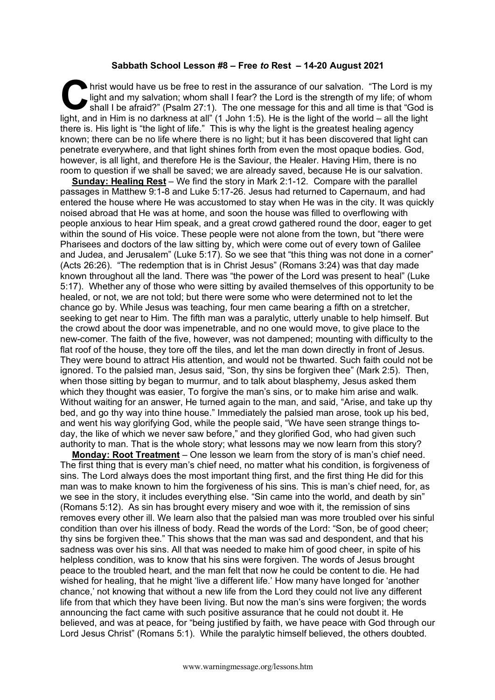## **Sabbath School Lesson #8 – Free** *to* **Rest – 14-20 August 2021**

Inrist would have us be free to rest in the assurance of our salvation. "The Lord is my light and my salvation; whom shall I fear? the Lord is the strength of my life; of whom shall I be afraid?" (Psalm 27:1). The one message for this and all time is that "God is If hist would have us be free to rest in the assurance of our salvation. "The Lord is my light and my salvation; whom shall I fear? the Lord is the strength of my life; of whom shall I be afraid?" (Psalm 27:1). The one mes there is. His light is "the light of life." This is why the light is the greatest healing agency known; there can be no life where there is no light; but it has been discovered that light can penetrate everywhere, and that light shines forth from even the most opaque bodies. God, however, is all light, and therefore He is the Saviour, the Healer. Having Him, there is no room to question if we shall be saved; we are already saved, because He is our salvation.

**Sunday: Healing Rest** – We find the story in Mark 2:1-12. Compare with the parallel passages in Matthew 9:1-8 and Luke 5:17-26. Jesus had returned to Capernaum, and had entered the house where He was accustomed to stay when He was in the city. It was quickly noised abroad that He was at home, and soon the house was filled to overflowing with people anxious to hear Him speak, and a great crowd gathered round the door, eager to get within the sound of His voice. These people were not alone from the town, but "there were Pharisees and doctors of the law sitting by, which were come out of every town of Galilee and Judea, and Jerusalem" (Luke 5:17). So we see that "this thing was not done in a corner" (Acts 26:26). "The redemption that is in Christ Jesus" (Romans 3:24) was that day made known throughout all the land. There was "the power of the Lord was present to heal" (Luke 5:17). Whether any of those who were sitting by availed themselves of this opportunity to be healed, or not, we are not told; but there were some who were determined not to let the chance go by. While Jesus was teaching, four men came bearing a fifth on a stretcher, seeking to get near to Him. The fifth man was a paralytic, utterly unable to help himself. But the crowd about the door was impenetrable, and no one would move, to give place to the new-comer. The faith of the five, however, was not dampened; mounting with difficulty to the flat roof of the house, they tore off the tiles, and let the man down directly in front of Jesus. They were bound to attract His attention, and would not be thwarted. Such faith could not be ignored. To the palsied man, Jesus said, "Son, thy sins be forgiven thee" (Mark 2:5). Then, when those sitting by began to murmur, and to talk about blasphemy, Jesus asked them which they thought was easier. To forgive the man's sins, or to make him arise and walk. Without waiting for an answer, He turned again to the man, and said, "Arise, and take up thy bed, and go thy way into thine house." Immediately the palsied man arose, took up his bed, and went his way glorifying God, while the people said, "We have seen strange things today, the like of which we never saw before," and they glorified God, who had given such authority to man. That is the whole story; what lessons may we now learn from this story?

**Monday: Root Treatment** – One lesson we learn from the story of is man's chief need. The first thing that is every man's chief need, no matter what his condition, is forgiveness of sins. The Lord always does the most important thing first, and the first thing He did for this man was to make known to him the forgiveness of his sins. This is man's chief need, for, as we see in the story, it includes everything else. "Sin came into the world, and death by sin" (Romans 5:12). As sin has brought every misery and woe with it, the remission of sins removes every other ill. We learn also that the palsied man was more troubled over his sinful condition than over his illness of body. Read the words of the Lord: "Son, be of good cheer; thy sins be forgiven thee." This shows that the man was sad and despondent, and that his sadness was over his sins. All that was needed to make him of good cheer, in spite of his helpless condition, was to know that his sins were forgiven. The words of Jesus brought peace to the troubled heart, and the man felt that now he could be content to die. He had wished for healing, that he might 'live a different life.' How many have longed for 'another chance,' not knowing that without a new life from the Lord they could not live any different life from that which they have been living. But now the man's sins were forgiven; the words announcing the fact came with such positive assurance that he could not doubt it. He believed, and was at peace, for "being justified by faith, we have peace with God through our Lord Jesus Christ" (Romans 5:1). While the paralytic himself believed, the others doubted.